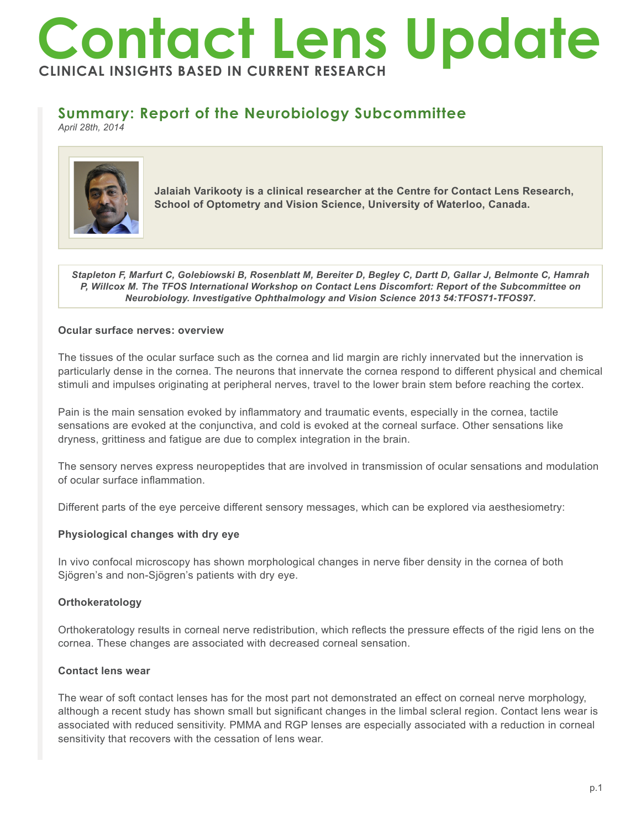# **Contact Lens Update CLINICAL INSIGHTS BASED IN CURRENT RESEARCH**

# **Summary: Report of the Neurobiology Subcommittee**

*April 28th, 2014*



**Jalaiah Varikooty is a clinical researcher at the Centre for Contact Lens Research, School of Optometry and Vision Science, University of Waterloo, Canada.**

*Stapleton F, Marfurt C, Golebiowski B, Rosenblatt M, Bereiter D, Begley C, Dartt D, Gallar J, Belmonte C, Hamrah P, Willcox M. The TFOS International Workshop on Contact Lens Discomfort: Report of the Subcommittee on Neurobiology. Investigative Ophthalmology and Vision Science 2013 54:TFOS71-TFOS97.*

### **Ocular surface nerves: overview**

The tissues of the ocular surface such as the cornea and lid margin are richly innervated but the innervation is particularly dense in the cornea. The neurons that innervate the cornea respond to different physical and chemical stimuli and impulses originating at peripheral nerves, travel to the lower brain stem before reaching the cortex.

Pain is the main sensation evoked by inflammatory and traumatic events, especially in the cornea, tactile sensations are evoked at the conjunctiva, and cold is evoked at the corneal surface. Other sensations like dryness, grittiness and fatigue are due to complex integration in the brain.

The sensory nerves express neuropeptides that are involved in transmission of ocular sensations and modulation of ocular surface inflammation.

Different parts of the eye perceive different sensory messages, which can be explored via aesthesiometry:

# **Physiological changes with dry eye**

In vivo confocal microscopy has shown morphological changes in nerve fiber density in the cornea of both Sjögren's and non-Sjögren's patients with dry eye.

# **Orthokeratology**

Orthokeratology results in corneal nerve redistribution, which reflects the pressure effects of the rigid lens on the cornea. These changes are associated with decreased corneal sensation.

#### **Contact lens wear**

The wear of soft contact lenses has for the most part not demonstrated an effect on corneal nerve morphology, although a recent study has shown small but significant changes in the limbal scleral region. Contact lens wear is associated with reduced sensitivity. PMMA and RGP lenses are especially associated with a reduction in corneal sensitivity that recovers with the cessation of lens wear.